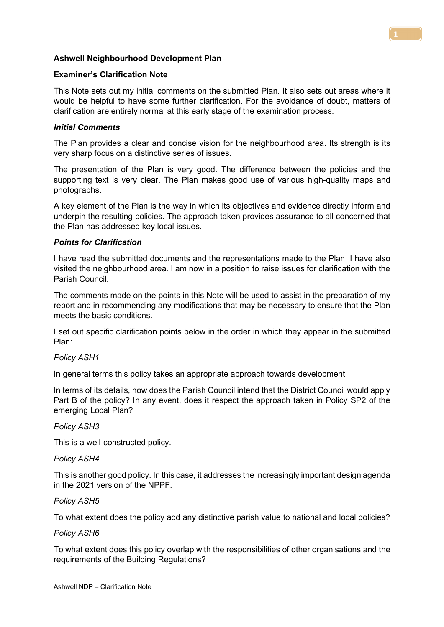# Ashwell Neighbourhood Development Plan

### Examiner's Clarification Note

This Note sets out my initial comments on the submitted Plan. It also sets out areas where it would be helpful to have some further clarification. For the avoidance of doubt, matters of clarification are entirely normal at this early stage of the examination process.

### Initial Comments

The Plan provides a clear and concise vision for the neighbourhood area. Its strength is its very sharp focus on a distinctive series of issues.

The presentation of the Plan is very good. The difference between the policies and the supporting text is very clear. The Plan makes good use of various high-quality maps and photographs.

A key element of the Plan is the way in which its objectives and evidence directly inform and underpin the resulting policies. The approach taken provides assurance to all concerned that the Plan has addressed key local issues.

# Points for Clarification

I have read the submitted documents and the representations made to the Plan. I have also visited the neighbourhood area. I am now in a position to raise issues for clarification with the Parish Council.

The comments made on the points in this Note will be used to assist in the preparation of my report and in recommending any modifications that may be necessary to ensure that the Plan meets the basic conditions.

I set out specific clarification points below in the order in which they appear in the submitted Plan:

### Policy ASH1

In general terms this policy takes an appropriate approach towards development.

In terms of its details, how does the Parish Council intend that the District Council would apply Part B of the policy? In any event, does it respect the approach taken in Policy SP2 of the emerging Local Plan?

### Policy ASH3

This is a well-constructed policy.

### Policy ASH4

This is another good policy. In this case, it addresses the increasingly important design agenda in the 2021 version of the NPPF.

### Policy ASH5

To what extent does the policy add any distinctive parish value to national and local policies?

### Policy ASH6

To what extent does this policy overlap with the responsibilities of other organisations and the requirements of the Building Regulations?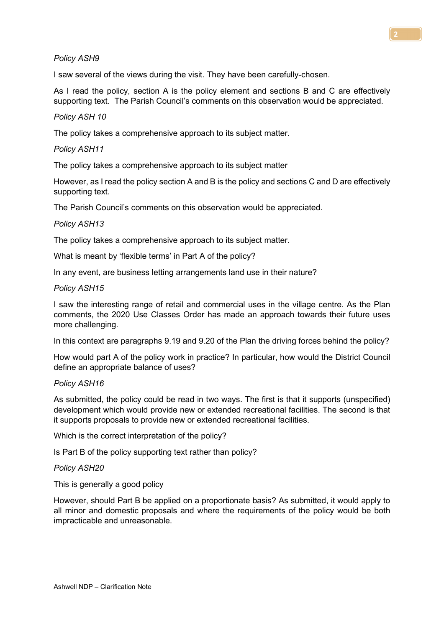# Policy ASH9

I saw several of the views during the visit. They have been carefully-chosen.

As I read the policy, section A is the policy element and sections B and C are effectively supporting text. The Parish Council's comments on this observation would be appreciated.

# Policy ASH 10

The policy takes a comprehensive approach to its subject matter.

### Policy ASH11

The policy takes a comprehensive approach to its subject matter

However, as I read the policy section A and B is the policy and sections C and D are effectively supporting text.

The Parish Council's comments on this observation would be appreciated.

# Policy ASH13

The policy takes a comprehensive approach to its subject matter.

What is meant by 'flexible terms' in Part A of the policy?

In any event, are business letting arrangements land use in their nature?

### Policy ASH15

I saw the interesting range of retail and commercial uses in the village centre. As the Plan comments, the 2020 Use Classes Order has made an approach towards their future uses more challenging.

In this context are paragraphs 9.19 and 9.20 of the Plan the driving forces behind the policy?

How would part A of the policy work in practice? In particular, how would the District Council define an appropriate balance of uses?

### Policy ASH16

As submitted, the policy could be read in two ways. The first is that it supports (unspecified) development which would provide new or extended recreational facilities. The second is that it supports proposals to provide new or extended recreational facilities.

Which is the correct interpretation of the policy?

Is Part B of the policy supporting text rather than policy?

### Policy ASH20

This is generally a good policy

However, should Part B be applied on a proportionate basis? As submitted, it would apply to all minor and domestic proposals and where the requirements of the policy would be both impracticable and unreasonable.